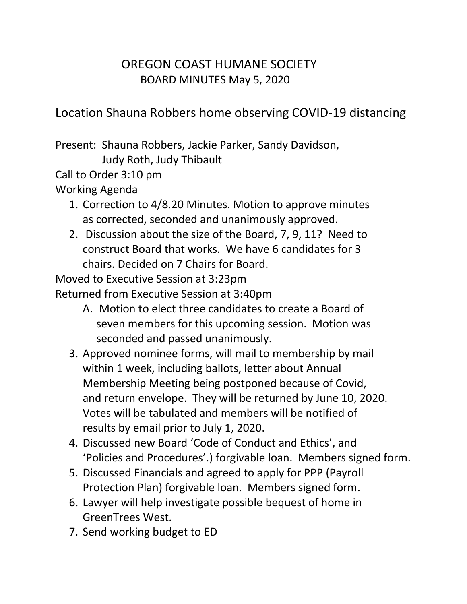## OREGON COAST HUMANE SOCIETY BOARD MINUTES May 5, 2020

Location Shauna Robbers home observing COVID-19 distancing

Present: Shauna Robbers, Jackie Parker, Sandy Davidson, Judy Roth, Judy Thibault

Call to Order 3:10 pm

Working Agenda

- 1. Correction to 4/8.20 Minutes. Motion to approve minutes as corrected, seconded and unanimously approved.
- 2. Discussion about the size of the Board, 7, 9, 11? Need to construct Board that works. We have 6 candidates for 3 chairs. Decided on 7 Chairs for Board.

Moved to Executive Session at 3:23pm

Returned from Executive Session at 3:40pm

- A. Motion to elect three candidates to create a Board of seven members for this upcoming session. Motion was seconded and passed unanimously.
- 3. Approved nominee forms, will mail to membership by mail within 1 week, including ballots, letter about Annual Membership Meeting being postponed because of Covid, and return envelope. They will be returned by June 10, 2020. Votes will be tabulated and members will be notified of results by email prior to July 1, 2020.
- 4. Discussed new Board 'Code of Conduct and Ethics', and 'Policies and Procedures'.) forgivable loan. Members signed form.
- 5. Discussed Financials and agreed to apply for PPP (Payroll Protection Plan) forgivable loan. Members signed form.
- 6. Lawyer will help investigate possible bequest of home in GreenTrees West.
- 7. Send working budget to ED